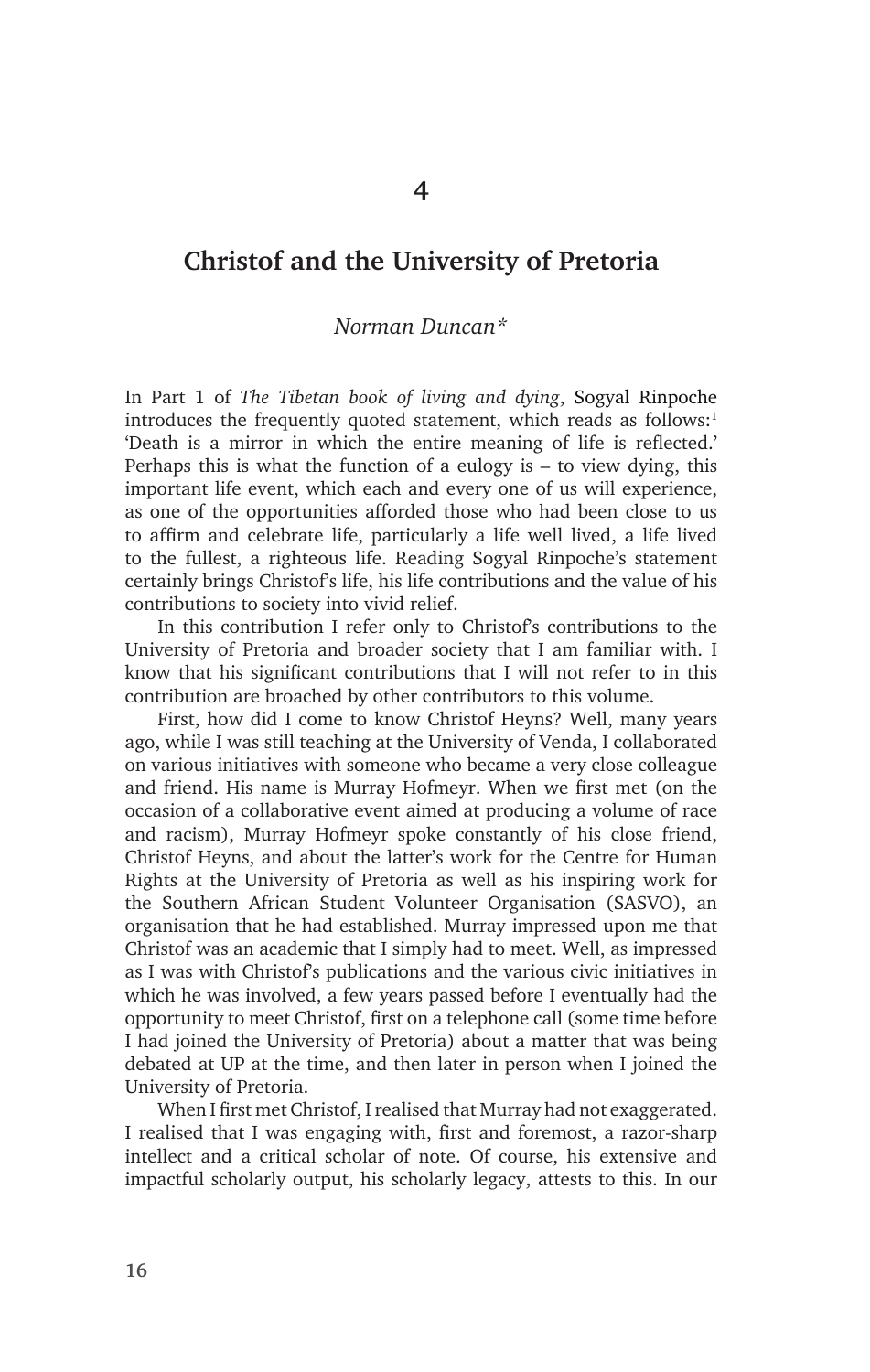# **Christof and the University of Pretoria**

## *Norman Duncan\**

In Part 1 of *The Tibetan book of living and dying*, Sogyal Rinpoche introduces the frequently quoted statement, which reads as follows:<sup>1</sup> 'Death is a mirror in which the entire meaning of life is reflected.' Perhaps this is what the function of a eulogy is  $-$  to view dying, this important life event, which each and every one of us will experience, as one of the opportunities afforded those who had been close to us to affirm and celebrate life, particularly a life well lived, a life lived to the fullest, a righteous life. Reading Sogyal Rinpoche's statement certainly brings Christof's life, his life contributions and the value of his contributions to society into vivid relief.

In this contribution I refer only to Christof's contributions to the University of Pretoria and broader society that I am familiar with. I know that his significant contributions that I will not refer to in this contribution are broached by other contributors to this volume.

First, how did I come to know Christof Heyns? Well, many years ago, while I was still teaching at the University of Venda, I collaborated on various initiatives with someone who became a very close colleague and friend. His name is Murray Hofmeyr. When we first met (on the occasion of a collaborative event aimed at producing a volume of race and racism), Murray Hofmeyr spoke constantly of his close friend, Christof Heyns, and about the latter's work for the Centre for Human Rights at the University of Pretoria as well as his inspiring work for the Southern African Student Volunteer Organisation (SASVO), an organisation that he had established. Murray impressed upon me that Christof was an academic that I simply had to meet. Well, as impressed as I was with Christof's publications and the various civic initiatives in which he was involved, a few years passed before I eventually had the opportunity to meet Christof, first on a telephone call (some time before I had joined the University of Pretoria) about a matter that was being debated at UP at the time, and then later in person when I joined the University of Pretoria.

When I first met Christof, I realised that Murray had not exaggerated. I realised that I was engaging with, first and foremost, a razor-sharp intellect and a critical scholar of note. Of course, his extensive and impactful scholarly output, his scholarly legacy, attests to this. In our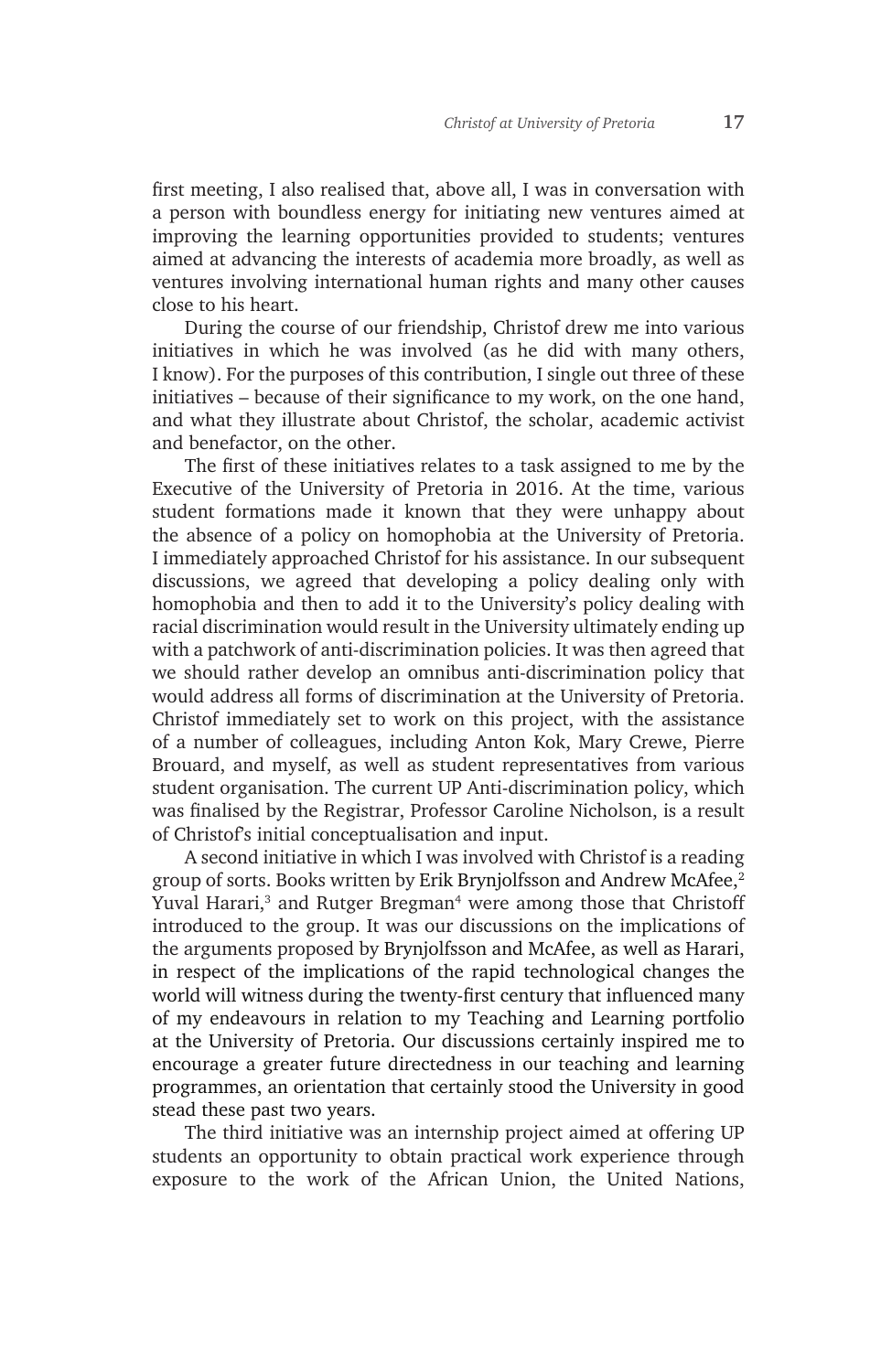first meeting, I also realised that, above all, I was in conversation with a person with boundless energy for initiating new ventures aimed at improving the learning opportunities provided to students; ventures aimed at advancing the interests of academia more broadly, as well as ventures involving international human rights and many other causes close to his heart.

During the course of our friendship, Christof drew me into various initiatives in which he was involved (as he did with many others, I know). For the purposes of this contribution, I single out three of these initiatives – because of their significance to my work, on the one hand, and what they illustrate about Christof, the scholar, academic activist and benefactor, on the other.

The first of these initiatives relates to a task assigned to me by the Executive of the University of Pretoria in 2016. At the time, various student formations made it known that they were unhappy about the absence of a policy on homophobia at the University of Pretoria. I immediately approached Christof for his assistance. In our subsequent discussions, we agreed that developing a policy dealing only with homophobia and then to add it to the University's policy dealing with racial discrimination would result in the University ultimately ending up with a patchwork of anti-discrimination policies. It was then agreed that we should rather develop an omnibus anti-discrimination policy that would address all forms of discrimination at the University of Pretoria. Christof immediately set to work on this project, with the assistance of a number of colleagues, including Anton Kok, Mary Crewe, Pierre Brouard, and myself, as well as student representatives from various student organisation. The current UP Anti-discrimination policy, which was finalised by the Registrar, Professor Caroline Nicholson, is a result of Christof's initial conceptualisation and input.

A second initiative in which I was involved with Christof is a reading group of sorts. Books written by Erik Brynjolfsson and Andrew McAfee,<sup>2</sup> Yuval Harari,<sup>3</sup> and Rutger Bregman<sup>4</sup> were among those that Christoff introduced to the group. It was our discussions on the implications of the arguments proposed by Brynjolfsson and McAfee, as well as Harari, in respect of the implications of the rapid technological changes the world will witness during the twenty-first century that influenced many of my endeavours in relation to my Teaching and Learning portfolio at the University of Pretoria. Our discussions certainly inspired me to encourage a greater future directedness in our teaching and learning programmes, an orientation that certainly stood the University in good stead these past two years.

The third initiative was an internship project aimed at offering UP students an opportunity to obtain practical work experience through exposure to the work of the African Union, the United Nations,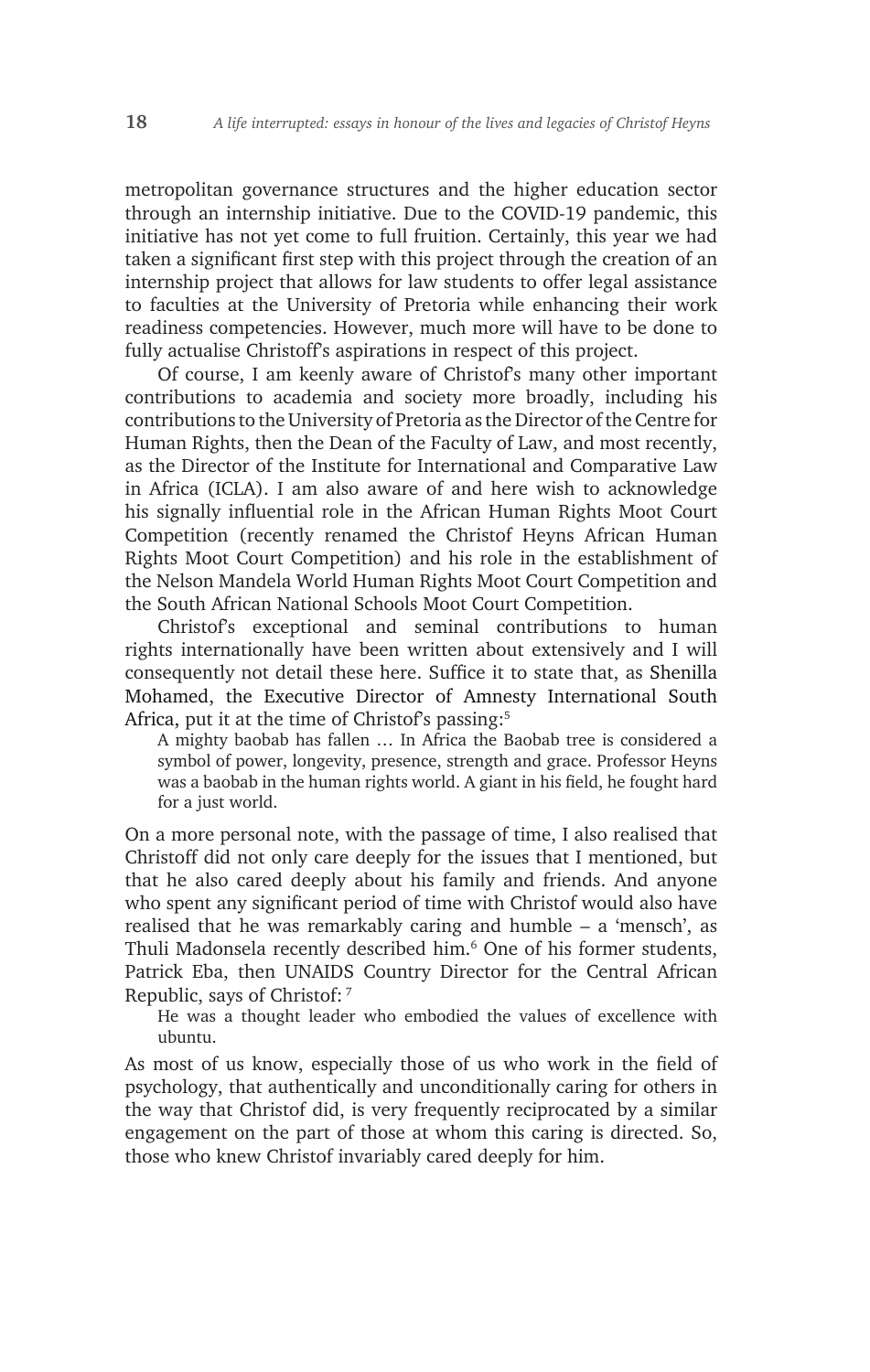metropolitan governance structures and the higher education sector through an internship initiative. Due to the COVID-19 pandemic, this initiative has not yet come to full fruition. Certainly, this year we had taken a significant first step with this project through the creation of an internship project that allows for law students to offer legal assistance to faculties at the University of Pretoria while enhancing their work readiness competencies. However, much more will have to be done to fully actualise Christoff's aspirations in respect of this project.

Of course, I am keenly aware of Christof's many other important contributions to academia and society more broadly, including his contributions to the University of Pretoria as the Director of the Centre for Human Rights, then the Dean of the Faculty of Law, and most recently, as the Director of the Institute for International and Comparative Law in Africa (ICLA). I am also aware of and here wish to acknowledge his signally influential role in the African Human Rights Moot Court Competition (recently renamed the Christof Heyns African Human Rights Moot Court Competition) and his role in the establishment of the Nelson Mandela World Human Rights Moot Court Competition and the South African National Schools Moot Court Competition.

Christof's exceptional and seminal contributions to human rights internationally have been written about extensively and I will consequently not detail these here. Suffice it to state that, as Shenilla Mohamed, the Executive Director of Amnesty International South Africa, put it at the time of Christof's passing:<sup>5</sup>

A mighty baobab has fallen … In Africa the Baobab tree is considered a symbol of power, longevity, presence, strength and grace. Professor Heyns was a baobab in the human rights world. A giant in his field, he fought hard for a just world.

On a more personal note, with the passage of time, I also realised that Christoff did not only care deeply for the issues that I mentioned, but that he also cared deeply about his family and friends. And anyone who spent any significant period of time with Christof would also have realised that he was remarkably caring and humble – a 'mensch', as Thuli Madonsela recently described him.<sup>6</sup> One of his former students, Patrick Eba, then UNAIDS Country Director for the Central African Republic, says of Christof: 7

He was a thought leader who embodied the values of excellence with ubuntu.

As most of us know, especially those of us who work in the field of psychology, that authentically and unconditionally caring for others in the way that Christof did, is very frequently reciprocated by a similar engagement on the part of those at whom this caring is directed. So, those who knew Christof invariably cared deeply for him.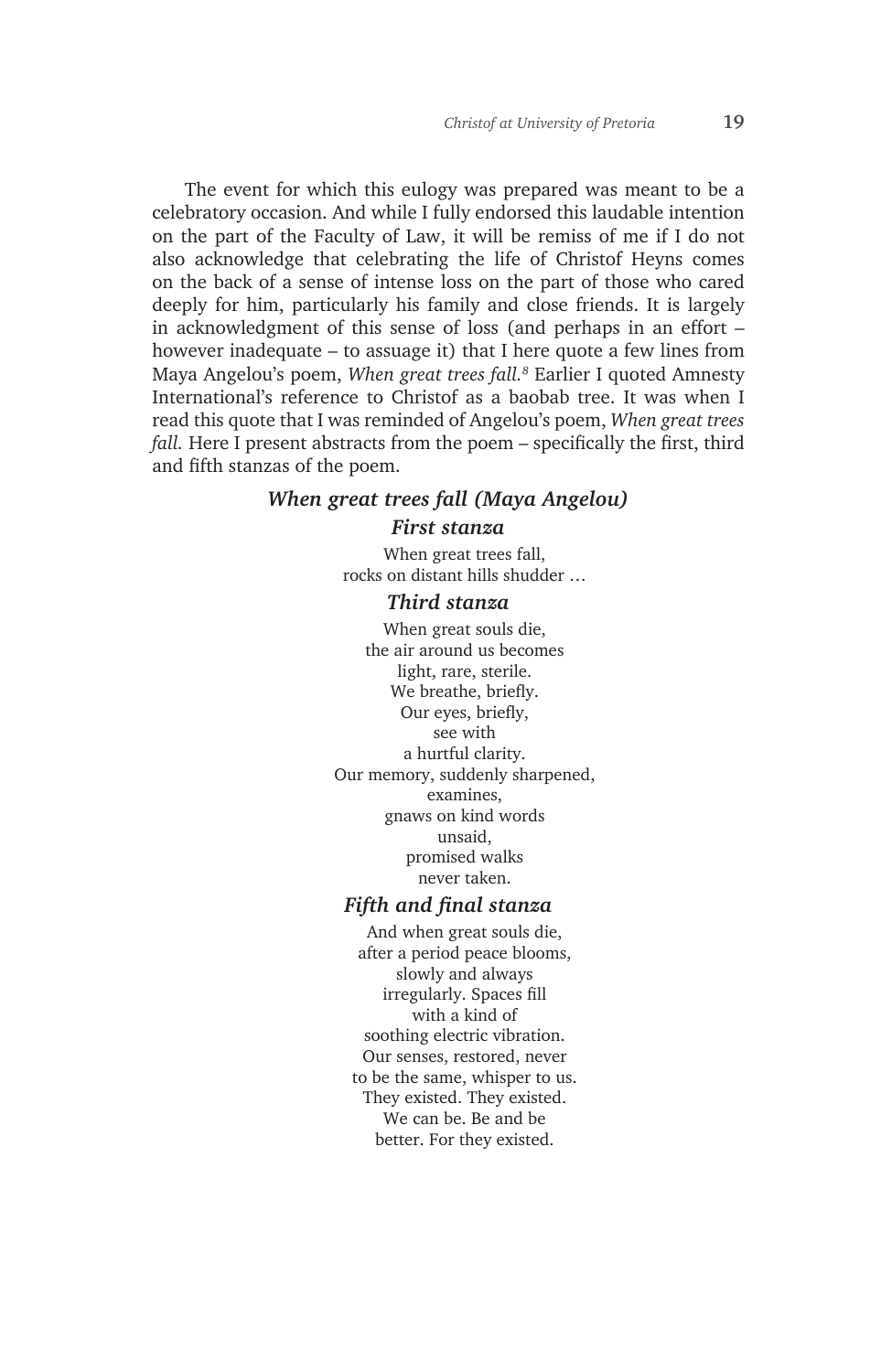The event for which this eulogy was prepared was meant to be a celebratory occasion. And while I fully endorsed this laudable intention on the part of the Faculty of Law, it will be remiss of me if I do not also acknowledge that celebrating the life of Christof Heyns comes on the back of a sense of intense loss on the part of those who cared deeply for him, particularly his family and close friends. It is largely in acknowledgment of this sense of loss (and perhaps in an effort – however inadequate – to assuage it) that I here quote a few lines from Maya Angelou's poem, *When great trees fall.8* Earlier I quoted Amnesty International's reference to Christof as a baobab tree. It was when I read this quote that I was reminded of Angelou's poem, *When great trees fall.* Here I present abstracts from the poem – specifically the first, third and fifth stanzas of the poem.

#### *When great trees fall (Maya Angelou)*

#### *First stanza*

When great trees fall, rocks on distant hills shudder …

#### *Third stanza*

When great souls die, the air around us becomes light, rare, sterile. We breathe, briefly. Our eyes, briefly, see with a hurtful clarity. Our memory, suddenly sharpened, examines, gnaws on kind words unsaid, promised walks never taken.

### *Fifth and final stanza*

And when great souls die, after a period peace blooms, slowly and always irregularly. Spaces fill with a kind of soothing electric vibration. Our senses, restored, never to be the same, whisper to us. They existed. They existed. We can be. Be and be better. For they existed.